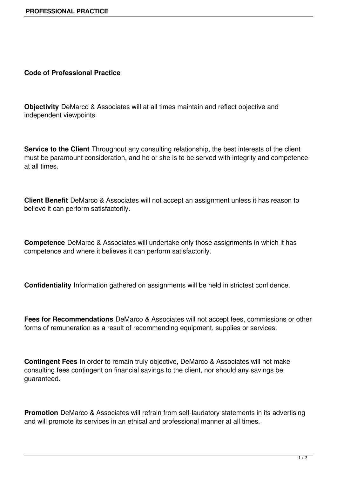## **Code of Professional Practice**

**Objectivity** DeMarco & Associates will at all times maintain and reflect objective and independent viewpoints.

**Service to the Client** Throughout any consulting relationship, the best interests of the client must be paramount consideration, and he or she is to be served with integrity and competence at all times.

**Client Benefit** DeMarco & Associates will not accept an assignment unless it has reason to believe it can perform satisfactorily.

**Competence** DeMarco & Associates will undertake only those assignments in which it has competence and where it believes it can perform satisfactorily.

**Confidentiality** Information gathered on assignments will be held in strictest confidence.

**Fees for Recommendations** DeMarco & Associates will not accept fees, commissions or other forms of remuneration as a result of recommending equipment, supplies or services.

**Contingent Fees** In order to remain truly objective, DeMarco & Associates will not make consulting fees contingent on financial savings to the client, nor should any savings be guaranteed.

**Promotion** DeMarco & Associates will refrain from self-laudatory statements in its advertising and will promote its services in an ethical and professional manner at all times.